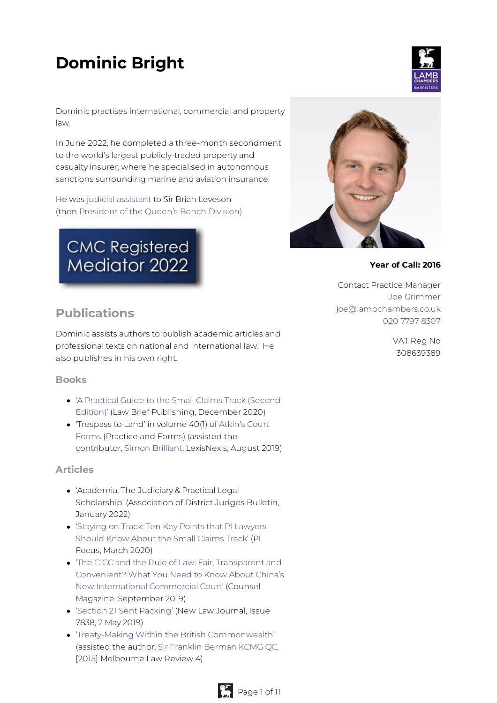# **Dominic Bright**



Dominic practises international, commercial and property law.

In June 2022, he completed a three-month secondment to the world's largest publicly-traded property and casualty insurer, where he specialised in autonomous sanctions surrounding marine and aviation insurance.

He was judicial [assistant](https://www.judiciary.uk/you-and-the-judiciary/going-to-court/court-of-appeal-home/judicial-assistants-in-the-court-of-appeal/) to Sir Brian Leveson (then [President](https://www.judiciary.uk/about-the-judiciary/who-are-the-judiciary/judicial-roles/judges/profile-pqbd/) of the Queen's Bench Division).

# **CMC Registered** Mediator 2022



#### **Year of Call: 2016**

Contact Practice Manager Joe [Grimmer](mailto:joe@lambchambers.co.uk) [joe@lambchambers.co.uk](mailto:joe@lambchambers.co.uk) 020 7797 [8307](tel:020%207797%208307)

### **Publications**

Dominic assists authors to publish academic articles and professional texts on national and international law. He also publishes in his own right.

#### **Books**

- 'A Practical Guide to the Small Claims Track (Second Edition)' (Law Brief [Publishing,](http://www.lawbriefpublishing.com/product/smallclaimstrack/) December 2020)
- ['Trespass](https://www.lexisnexis.co.uk/products/atkins-court-forms.html) to Land' in volume 40(1) of Atkin's Court Forms (Practice and Forms) (assisted the contributor, Simon [Brilliant](https://www.lambchambers.co.uk/who-can-help-you/barristers/simon-brilliant), LexisNexis, August 2019)

#### **Articles**

- 'Academia, The Judiciary & Practical Legal Scholarship' (Association of District Judges Bulletin, January 2022)
- 'Staying on Track: Ten Key Points that PI [Lawyers](https://www.lambchambers.co.uk/wp-content/uploads/2020/03/78458_Pi_Focus_March_Bright.pdf) Should Know About the Small Claims Track' (PI Focus, March 2020)
- 'The CICC and the Rule of Law: Fair, Transparent and Convenient? What You Need to Know About China's New [International](https://www.counselmagazine.co.uk/articles/the-cicc-and-the-rule-of-law) Commercial Court' (Counsel Magazine, September 2019)
- 'Section 21 Sent [Packing'](https://www.newlawjournal.co.uk/content/section-21-sent-packing) (New Law Journal, Issue 7838, 2 May 2019)
- 'Treaty-Making Within the British [Commonwealth](http://www5.austlii.edu.au/au/journals/MelbULawRw/2015/4.html)' (assisted the author, Sir Franklin [Berman](https://essexcourt.com/barrister/sir-frank-berman-kcmg-qc/) KCMG QC, [2015] Melbourne Law Review 4)

VAT Reg No 308639389

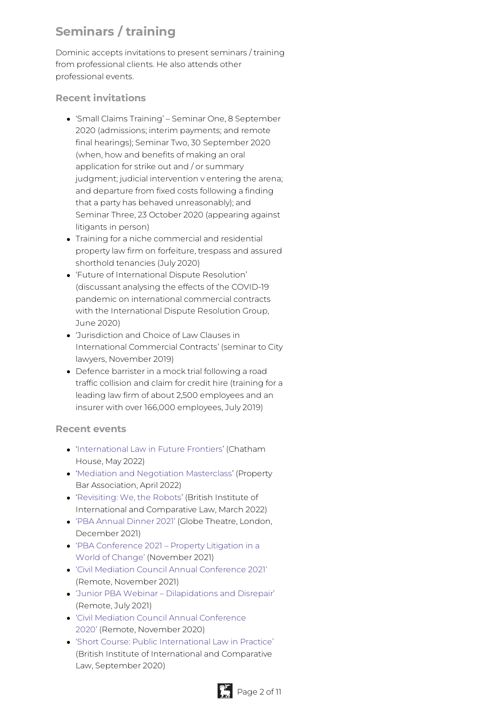## **Seminars / training**

Dominic accepts invitations to present seminars / training from professional clients. He also attends other professional events.

#### **Recent invitations**

- 'Small Claims Training' Seminar One, 8 September 2020 (admissions; interim payments; and remote final hearings); Seminar Two, 30 September 2020 (when, how and benefits of making an oral application for strike out and / or summary judgment; judicial intervention v entering the arena; and departure from fixed costs following a finding that a party has behaved unreasonably); and Seminar Three, 23 October 2020 (appearing against litigants in person)
- Training for a niche commercial and residential property law firm on forfeiture, trespass and assured shorthold tenancies (July 2020)
- 'Future of International Dispute Resolution' (discussant analysing the effects of the COVID-19 pandemic on international commercial contracts with the International Dispute Resolution Group, June 2020)
- 'Jurisdiction and Choice of Law Clauses in International Commercial Contracts' (seminar to City lawyers, November 2019)
- Defence barrister in a mock trial following a road traffic collision and claim for credit hire (training for a leading law firm of about 2,500 employees and an insurer with over 166,000 employees, July 2019)

#### **Recent events**

- ['International](https://www.chathamhouse.org/events/all/members-event/international-law-future-frontiers) Law in Future Frontiers' (Chatham House, May 2022)
- 'Mediation and [Negotiation](https://www.propertybar.org.uk/events/previous/mediation-and-negotiation-masterclass) Masterclass' (Property Bar Association, April 2022)
- ['Revisiting:](https://www.biicl.org/events/11589/revisiting-we-the-robots) We, the Robots' (British Institute of International and Comparative Law, March 2022)
- 'PBA [Annual](https://www.propertybar.org.uk/events/pba-annual-dinner-2021) Dinner 2021' (Globe Theatre, London, December 2021)
- 'PBA [Conference](https://www.propertybar.org.uk/events/pba-conference-2021---property-litigation-in-a-world-of-change) 2021 Property Litigation in a World of Change' (November 2021)
- 'Civil Mediation Council Annual [Conference](https://civilmediation.org/cmc-conference/) 2021' (Remote, November 2021)
- 'Junior PBA Webinar [Dilapidations](https://www.propertybar.org.uk/events/previous/junior-pba-webinar---dilapidations-and-disrepair) and Disrepair' (Remote, July 2021)
- 'Civil Mediation Council Annual [Conference](https://civilmediation.org/latest-news/cmc-conference-2020-mediation-moving-forward/) 2020' (Remote, November 2020)
- 'Short Course: Public [International](https://www.biicl.org/events/11331/short-course-public-international-law-in-practice) Law in Practice' (British Institute of International and Comparative Law, September 2020)

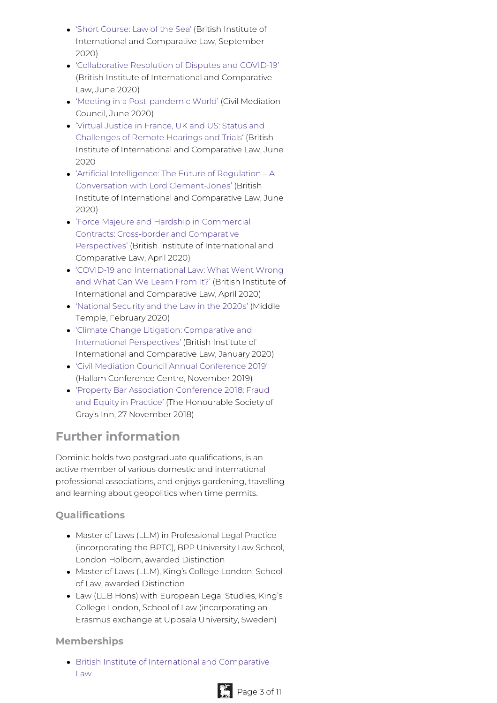- 'Short [Course:](https://www.biicl.org/events/11337/short-course-law-of-the-sea) Law of the Sea' (British Institute of International and Comparative Law, September 2020)
- ['Collaborative](https://www.biicl.org/event/11403) Resolution of Disputes and COVID-19' (British Institute of International and Comparative Law, June 2020)
- 'Meeting in a [Post-pandemic](https://us02web.zoom.us/webinar/register/WN_BoSFDMngSjqRpoCUPYv8Qg?_x_zm_rtaid=szIECI0uSEOGtsOywVAiYA.1594981006146.19cc3f649d31a012250b84efd5b0efb9&_x_zm_rhtaid=872) World' (Civil Mediation Council, June 2020)
- 'Virtual Justice in France, UK and US: Status and [Challenges](https://www.biicl.org/event/11400) of Remote Hearings and Trials' (British Institute of International and Comparative Law, June 2020
- 'Artificial Intelligence: The Future of Regulation A Conversation with Lord [Clement-Jones'](https://www.biicl.org/event/11386) (British Institute of International and Comparative Law, June 2020)
- 'Force Majeure and Hardship in Commercial Contracts: Cross-border and Comparative [Perspectives'](https://www.biicl.org/event/11372) (British Institute of International and Comparative Law, April 2020)
- 'COVID-19 and [International](https://www.biicl.org/event/11373) Law: What Went Wrong and What Can We Learn From It?' (British Institute of International and Comparative Law, April 2020)
- ['National](https://www.middletemple.org.uk/civicrm/event/info?reset=1&id=40275) Security and the Law in the 2020s' (Middle Temple, February 2020)
- 'Climate Change Litigation: Comparative and International [Perspectives'](https://www.biicl.org/events/11335/climate-change-litigation-comparative-and-international-perspectives) (British Institute of International and Comparative Law, January 2020)
- 'Civil Mediation Council Annual [Conference](https://civilmediation.org/product/cmc-annual-conference-2019/) 2019' (Hallam Conference Centre, November 2019)
- 'Property Bar Association Conference 2018: Fraud and Equity in Practice' (The [Honourable](https://www.propertybar.org.uk/events/previous/pba-conference-2018) Society of Gray's Inn, 27 November 2018)

## **Further information**

Dominic holds two postgraduate qualifications, is an active member of various domestic and international professional associations, and enjoys gardening, travelling and learning about geopolitics when time permits.

#### **Qualifications**

- Master of Laws (LL.M) in Professional Legal Practice (incorporating the BPTC), BPP University Law School, London Holborn, awarded Distinction
- Master of Laws (LL.M), King's College London, School of Law, awarded Distinction
- Law (LL.B Hons) with European Legal Studies, King's College London, School of Law (incorporating an Erasmus exchange at Uppsala University, Sweden)

#### **Memberships**

British Institute of [International](https://www.biicl.org/aboutus) and Comparative Law

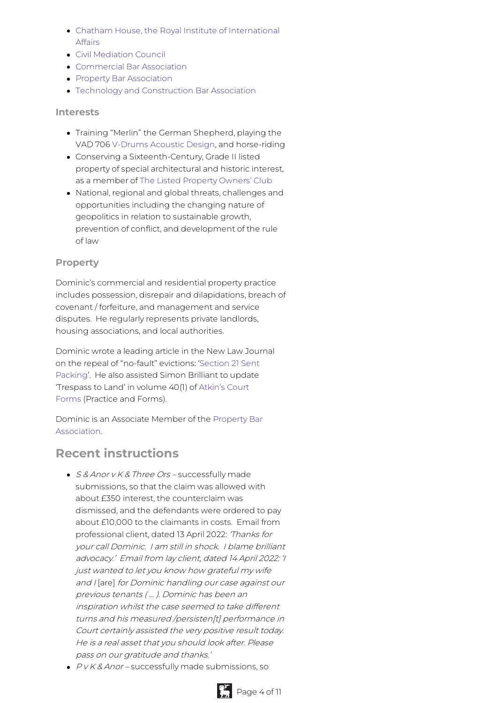- Chatham House, the Royal Institute of [International](https://www.chathamhouse.org/about) Affairs
- Civil [Mediation](https://civilmediation.org/results/?mediator_name=bright&expertise=&town=) Council
- [Commercial](https://www.combar.com/about-us/member-set-search-directory/combar-member-list/?membersearch=Dominic+Bright) Bar Association
- Property Bar [Association](https://www.propertybar.org.uk/member-directory/bright-dominic)
- Technology and [Construction](https://tecbar.org/about/member-directory/?letter=B) Bar Association

#### **Interests**

- Training "Merlin" the German Shepherd, playing the VAD 706 [V-Drums](https://www.roland.com/uk/products/vad706/) Acoustic Design, and horse-riding
- Conserving a Sixteenth-Century, Grade II listed property of special architectural and historic interest, as a member of The Listed [Property](https://www.lpoc.co.uk/) Owners' Club
- National, regional and global threats, challenges and opportunities including the changing nature of geopolitics in relation to sustainable growth, prevention of conflict, and development of the rule of law

#### **Property**

Dominic's commercial and residential property practice includes possession, disrepair and dilapidations, breach of covenant / forfeiture, and management and service disputes. He regularly represents private landlords, housing associations, and local authorities.

Dominic wrote a leading article in the New Law Journal on the repeal of ["no-fault"](https://www.newlawjournal.co.uk/content/section-21-sent-packing) evictions: 'Section 21 Sent Packing'. He also assisted Simon Brilliant to update ['Trespass](https://www.lexisnexis.co.uk/products/atkins-court-forms.html) to Land' in volume 40(1) of Atkin's Court Forms (Practice and Forms).

Dominic is an Associate Member of the Property Bar [Association.](https://www.propertybar.org.uk/member-directory/bright-dominic)

### **Recent instructions**

- S & Anor v K & Three Ors successfully made submissions, so that the claim was allowed with about £350 interest, the counterclaim was dismissed, and the defendants were ordered to pay about £10,000 to the claimants in costs. Email from professional client, dated 13 April 2022: 'Thanks for your call Dominic. I am still in shock. I blame brilliant advocacy.' Email from lay client, dated 14 April 2022: 'I just wanted to let you know how grateful my wife and I [are] for Dominic handling our case against our previous tenants ( … ). Dominic has been an inspiration whilst the case seemed to take different turns and his measured /persisten[t] performance in Court certainly assisted the very positive result today. He is <sup>a</sup> real asset that you should look after. Please pass on our gratitude and thanks.'
- $\cdot$  P v K & Anor successfully made submissions, so

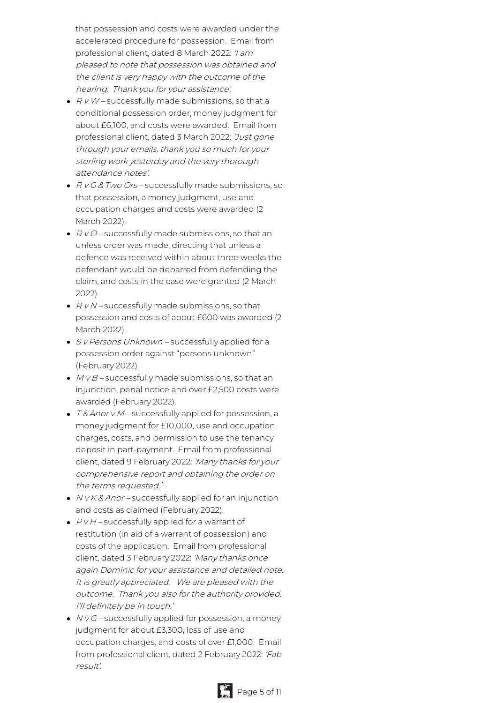that possession and costs were awarded under the accelerated procedure for possession. Email from professional client, dated 8 March 2022: 'I am pleased to note that possession was obtained and the client is very happy with the outcome of the hearing. Thank you for your assistance'.

- $\bullet$   $RVM$  successfully made submissions, so that a conditional possession order, money judgment for about £6,100, and costs were awarded. Email from professional client, dated 3 March 2022: 'Just gone through your emails, thank you so much for your sterling work yesterday and the very thorough attendance notes'.
- $\bullet$  R v G & Two Ors successfully made submissions, so that possession, a money judgment, use and occupation charges and costs were awarded (2 March 2022).
- $\bullet$   $R$  v O successfully made submissions, so that an unless order was made, directing that unless a defence was received within about three weeks the defendant would be debarred from defending the claim, and costs in the case were granted (2 March 2022).
- $\bullet$   $R$  v N successfully made submissions, so that possession and costs of about £600 was awarded (2 March 2022).
- S v Persons Unknown successfully applied for a possession order against "persons unknown" (February 2022).
- $MVB$  successfully made submissions, so that an injunction, penal notice and over £2,500 costs were awarded (February 2022).
- T& Anor v M successfully applied for possession, a money judgment for £10,000, use and occupation charges, costs, and permission to use the tenancy deposit in part-payment. Email from professional client, dated 9 February 2022: 'Many thanks for your comprehensive report and obtaining the order on the terms requested.'
- $\bullet$  N v K & Anor successfully applied for an injunction and costs as claimed (February 2022).
- $\bullet$   $PVH$  successfully applied for a warrant of restitution (in aid of a warrant of possession) and costs of the application. Email from professional client, dated 3 February 2022: 'Many thanks once again Dominic for your assistance and detailed note. It is greatly appreciated. We are pleased with the outcome. Thank you also for the authority provided. I'll definitely be in touch.'
- $\bullet$   $N$  v  $G$  successfully applied for possession, a money judgment for about £3,300, loss of use and occupation charges, and costs of over £1,000. Email from professional client, dated 2 February 2022: 'Fab result'.

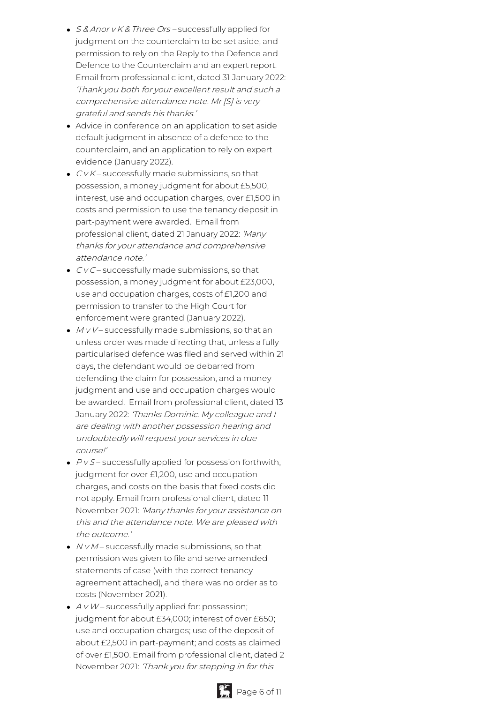- S & Anor v K & Three Ors successfully applied for judgment on the counterclaim to be set aside, and permission to rely on the Reply to the Defence and Defence to the Counterclaim and an expert report. Email from professional client, dated 31 January 2022: 'Thank you both for your excellent result and such <sup>a</sup> comprehensive attendance note. Mr [S] is very grateful and sends his thanks.'
- Advice in conference on an application to set aside default judgment in absence of a defence to the counterclaim, and an application to rely on expert evidence (January 2022).
- $\bullet$   $C$  v  $K$  successfully made submissions, so that possession, a money judgment for about £5,500, interest, use and occupation charges, over £1,500 in costs and permission to use the tenancy deposit in part-payment were awarded. Email from professional client, dated 21 January 2022: 'Many thanks for your attendance and comprehensive attendance note.'
- $\bullet$   $\mathcal{C}\vee\mathcal{C}$  successfully made submissions, so that possession, a money judgment for about £23,000, use and occupation charges, costs of £1,200 and permission to transfer to the High Court for enforcement were granted (January 2022).
- $M_V$ V successfully made submissions, so that an unless order was made directing that, unless a fully particularised defence was filed and served within 21 days, the defendant would be debarred from defending the claim for possession, and a money judgment and use and occupation charges would be awarded. Email from professional client, dated 13 January 2022: 'Thanks Dominic. My colleague and I are dealing with another possession hearing and undoubtedly will request your services in due course!'
- $\cdot$   $PVS$  successfully applied for possession forthwith, judgment for over £1,200, use and occupation charges, and costs on the basis that fixed costs did not apply. Email from professional client, dated 11 November 2021: 'Many thanks for your assistance on this and the attendance note. We are pleased with the outcome.'
- $\bullet$   $NVM$  successfully made submissions, so that permission was given to file and serve amended statements of case (with the correct tenancy agreement attached), and there was no order as to costs (November 2021).
- $\bullet$  A v W successfully applied for: possession; judgment for about £34,000; interest of over £650; use and occupation charges; use of the deposit of about £2,500 in part-payment; and costs as claimed of over £1,500. Email from professional client, dated 2 November 2021: 'Thank you for stepping in for this



P<sub>4</sub> Page 6 of 11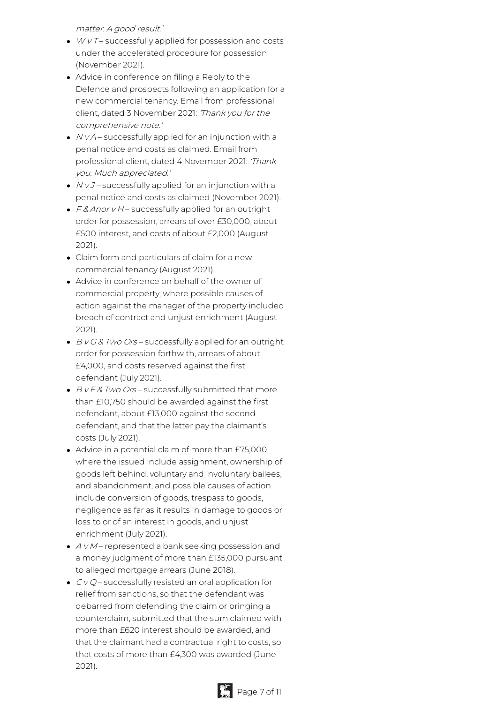matter. A good result.'

- $WV$  T successfully applied for possession and costs under the accelerated procedure for possession (November 2021).
- Advice in conference on filing a Reply to the Defence and prospects following an application for a new commercial tenancy. Email from professional client, dated 3 November 2021: 'Thank you for the comprehensive note.'
- $\bullet$   $NVA$  successfully applied for an injunction with a penal notice and costs as claimed. Email from professional client, dated 4 November 2021: 'Thank you. Much appreciated.'
- $\bullet$   $NvJ$  successfully applied for an injunction with a penal notice and costs as claimed (November 2021).
- $\cdot$  F & Anor v H successfully applied for an outright order for possession, arrears of over £30,000, about £500 interest, and costs of about £2,000 (August 2021).
- Claim form and particulars of claim for a new commercial tenancy (August 2021).
- Advice in conference on behalf of the owner of commercial property, where possible causes of action against the manager of the property included breach of contract and unjust enrichment (August 2021).
- $\bullet$  B v G & Two Ors successfully applied for an outright order for possession forthwith, arrears of about £4,000, and costs reserved against the first defendant (July 2021).
- $\bullet$  B v F & Two Ors successfully submitted that more than £10,750 should be awarded against the first defendant, about £13,000 against the second defendant, and that the latter pay the claimant's costs (July 2021).
- Advice in a potential claim of more than £75,000, where the issued include assignment, ownership of goods left behind, voluntary and involuntary bailees, and abandonment, and possible causes of action include conversion of goods, trespass to goods, negligence as far as it results in damage to goods or loss to or of an interest in goods, and unjust enrichment (July 2021).
- $\bullet$  A v M represented a bank seeking possession and a money judgment of more than £135,000 pursuant to alleged mortgage arrears (June 2018).
- $\bullet$   $CVQ$  successfully resisted an oral application for relief from sanctions, so that the defendant was debarred from defending the claim or bringing a counterclaim, submitted that the sum claimed with more than £620 interest should be awarded, and that the claimant had a contractual right to costs, so that costs of more than £4,300 was awarded (June 2021).

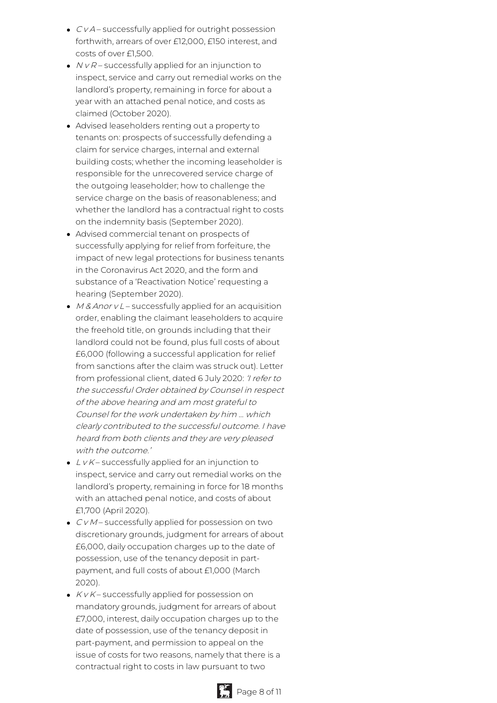- $\bullet$   $CVA$  successfully applied for outright possession forthwith, arrears of over £12,000, £150 interest, and costs of over £1,500.
- $\bullet$   $NVR-$  successfully applied for an injunction to inspect, service and carry out remedial works on the landlord's property, remaining in force for about a year with an attached penal notice, and costs as claimed (October 2020).
- Advised leaseholders renting out a property to tenants on: prospects of successfully defending a claim for service charges, internal and external building costs; whether the incoming leaseholder is responsible for the unrecovered service charge of the outgoing leaseholder; how to challenge the service charge on the basis of reasonableness; and whether the landlord has a contractual right to costs on the indemnity basis (September 2020).
- Advised commercial tenant on prospects of successfully applying for relief from forfeiture, the impact of new legal protections for business tenants in the Coronavirus Act 2020, and the form and substance of a 'Reactivation Notice' requesting a hearing (September 2020).
- $M & A$ nor v L successfully applied for an acquisition order, enabling the claimant leaseholders to acquire the freehold title, on grounds including that their landlord could not be found, plus full costs of about £6,000 (following a successful application for relief from sanctions after the claim was struck out). Letter from professional client, dated 6 July 2020: 'I refer to the successful Order obtained by Counsel in respect of the above hearing and am most grateful to Counsel for the work undertaken by him … which clearly contributed to the successful outcome. I have heard from both clients and they are very pleased with the outcome.'
- $\bullet$  L v K successfully applied for an injunction to inspect, service and carry out remedial works on the landlord's property, remaining in force for 18 months with an attached penal notice, and costs of about £1,700 (April 2020).
- $\bullet$   $CVM$  successfully applied for possession on two discretionary grounds, judgment for arrears of about £6,000, daily occupation charges up to the date of possession, use of the tenancy deposit in partpayment, and full costs of about £1,000 (March 2020).
- $\bullet$  K v K successfully applied for possession on mandatory grounds, judgment for arrears of about £7,000, interest, daily occupation charges up to the date of possession, use of the tenancy deposit in part-payment, and permission to appeal on the issue of costs for two reasons, namely that there is a contractual right to costs in law pursuant to two



Page 8 of 11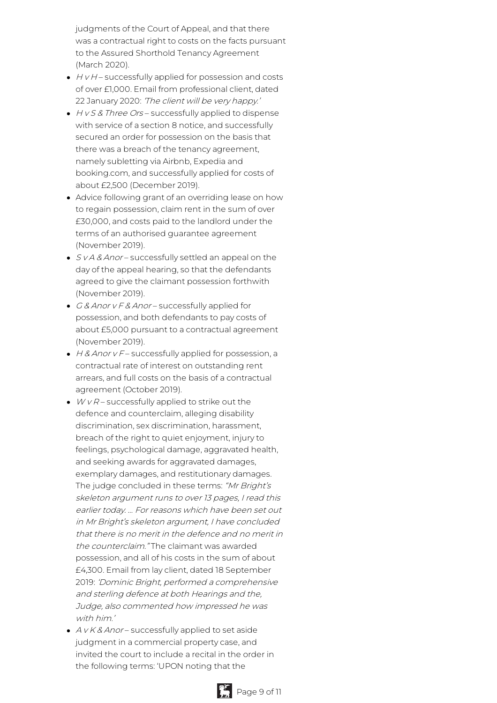judgments of the Court of Appeal, and that there was a contractual right to costs on the facts pursuant to the Assured Shorthold Tenancy Agreement (March 2020).

- $\bullet$  H v H successfully applied for possession and costs of over £1,000. Email from professional client, dated 22 January 2020: 'The client will be very happy.'
- $\bullet$  H v S & Three Ors successfully applied to dispense with service of a section 8 notice, and successfully secured an order for possession on the basis that there was a breach of the tenancy agreement, namely subletting via Airbnb, Expedia and booking.com, and successfully applied for costs of about £2,500 (December 2019).
- Advice following grant of an overriding lease on how to regain possession, claim rent in the sum of over £30,000, and costs paid to the landlord under the terms of an authorised guarantee agreement (November 2019).
- S v A & Anor successfully settled an appeal on the day of the appeal hearing, so that the defendants agreed to give the claimant possession forthwith (November 2019).
- G & Anor v F & Anor successfully applied for possession, and both defendants to pay costs of about £5,000 pursuant to a contractual agreement (November 2019).
- $\cdot$  H & Anor v F successfully applied for possession, a contractual rate of interest on outstanding rent arrears, and full costs on the basis of a contractual agreement (October 2019).
- $WVR$  successfully applied to strike out the defence and counterclaim, alleging disability discrimination, sex discrimination, harassment, breach of the right to quiet enjoyment, injury to feelings, psychological damage, aggravated health, and seeking awards for aggravated damages, exemplary damages, and restitutionary damages. The judge concluded in these terms: "Mr Bright's skeleton argument runs to over 13 pages, I read this earlier today. … For reasons which have been set out in Mr Bright's skeleton argument, I have concluded that there is no merit in the defence and no merit in the counterclaim." The claimant was awarded possession, and all of his costs in the sum of about £4,300. Email from lay client, dated 18 September 2019: 'Dominic Bright, performed <sup>a</sup> comprehensive and sterling defence at both Hearings and the, Judge, also commented how impressed he was with him.'
- $\bullet$  A v K & Anor successfully applied to set aside judgment in a commercial property case, and invited the court to include a recital in the order in the following terms: 'UPON noting that the



Page 9 of 11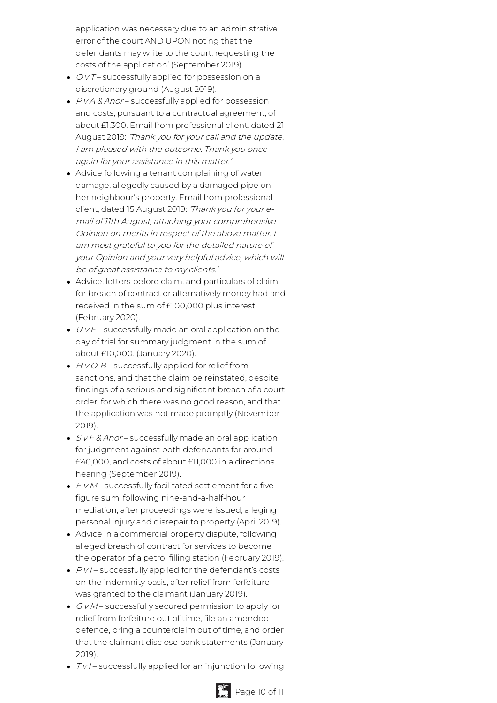application was necessary due to an administrative error of the court AND UPON noting that the defendants may write to the court, requesting the costs of the application' (September 2019).

- $\bullet$   $OVI$  successfully applied for possession on a discretionary ground (August 2019).
- $\bullet$   $P$ *vA & Anor* successfully applied for possession and costs, pursuant to a contractual agreement, of about £1,300. Email from professional client, dated 21 August 2019: 'Thank you for your call and the update. I am pleased with the outcome. Thank you once again for your assistance in this matter.'
- Advice following a tenant complaining of water damage, allegedly caused by a damaged pipe on her neighbour's property. Email from professional client, dated 15 August 2019: 'Thank you for your email of 11th August, attaching your comprehensive Opinion on merits in respect of the above matter. I am most grateful to you for the detailed nature of your Opinion and your very helpful advice, which will be of great assistance to my clients.'
- Advice, letters before claim, and particulars of claim for breach of contract or alternatively money had and received in the sum of £100,000 plus interest (February 2020).
- $\bullet$   $U$  v  $E$  successfully made an oral application on the day of trial for summary judgment in the sum of about £10,000. (January 2020).
- $\bullet$  H v O-B successfully applied for relief from sanctions, and that the claim be reinstated, despite findings of a serious and significant breach of a court order, for which there was no good reason, and that the application was not made promptly (November 2019).
- $S$  v F & Anor successfully made an oral application for judgment against both defendants for around £40,000, and costs of about £11,000 in a directions hearing (September 2019).
- $\bullet$   $EVM$  successfully facilitated settlement for a fivefigure sum, following nine-and-a-half-hour mediation, after proceedings were issued, alleging personal injury and disrepair to property (April 2019).
- Advice in a commercial property dispute, following alleged breach of contract for services to become the operator of a petrol filling station (February 2019).
- $\bullet$   $PV$  successfully applied for the defendant's costs on the indemnity basis, after relief from forfeiture was granted to the claimant (January 2019).
- $\bullet$   $GVM$  successfully secured permission to apply for relief from forfeiture out of time, file an amended defence, bring a counterclaim out of time, and order that the claimant disclose bank statements (January 2019).
- $\bullet$   $TV$  successfully applied for an injunction following